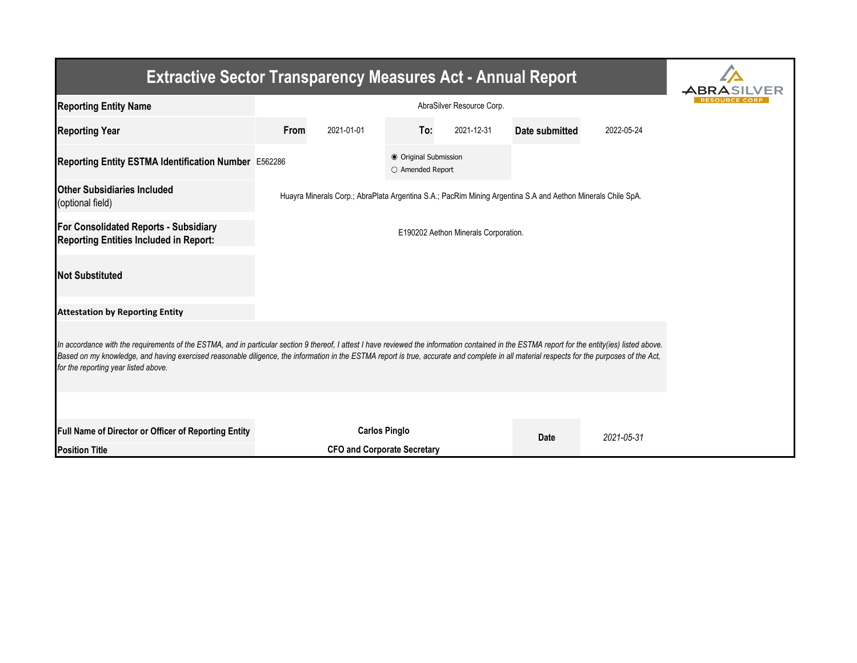| <b>Extractive Sector Transparency Measures Act - Annual Report</b>                                                                                                                                                                                                                                                                                                                                                                    |      |                                    |                                           |            |                                                                                                             |            |  |  |  |  |
|---------------------------------------------------------------------------------------------------------------------------------------------------------------------------------------------------------------------------------------------------------------------------------------------------------------------------------------------------------------------------------------------------------------------------------------|------|------------------------------------|-------------------------------------------|------------|-------------------------------------------------------------------------------------------------------------|------------|--|--|--|--|
| <b>Reporting Entity Name</b>                                                                                                                                                                                                                                                                                                                                                                                                          |      |                                    |                                           |            |                                                                                                             |            |  |  |  |  |
| <b>Reporting Year</b>                                                                                                                                                                                                                                                                                                                                                                                                                 | From | 2021-01-01                         | To:                                       | 2021-12-31 | Date submitted                                                                                              | 2022-05-24 |  |  |  |  |
| Reporting Entity ESTMA Identification Number E562286                                                                                                                                                                                                                                                                                                                                                                                  |      |                                    | ● Original Submission<br>O Amended Report |            |                                                                                                             |            |  |  |  |  |
| <b>Other Subsidiaries Included</b><br>(optional field)                                                                                                                                                                                                                                                                                                                                                                                |      |                                    |                                           |            | Huayra Minerals Corp.; AbraPlata Argentina S.A.; PacRim Mining Argentina S.A and Aethon Minerals Chile SpA. |            |  |  |  |  |
| For Consolidated Reports - Subsidiary<br><b>Reporting Entities Included in Report:</b>                                                                                                                                                                                                                                                                                                                                                |      |                                    |                                           |            |                                                                                                             |            |  |  |  |  |
| <b>Not Substituted</b>                                                                                                                                                                                                                                                                                                                                                                                                                |      |                                    |                                           |            |                                                                                                             |            |  |  |  |  |
| <b>Attestation by Reporting Entity</b>                                                                                                                                                                                                                                                                                                                                                                                                |      |                                    |                                           |            |                                                                                                             |            |  |  |  |  |
| In accordance with the requirements of the ESTMA, and in particular section 9 thereof, I attest I have reviewed the information contained in the ESTMA report for the entity(ies) listed above.<br>Based on my knowledge, and having exercised reasonable diligence, the information in the ESTMA report is true, accurate and complete in all material respects for the purposes of the Act,<br>for the reporting year listed above. |      |                                    |                                           |            |                                                                                                             |            |  |  |  |  |
| Full Name of Director or Officer of Reporting Entity                                                                                                                                                                                                                                                                                                                                                                                  |      | <b>Carlos Pinglo</b>               |                                           |            | <b>Date</b>                                                                                                 | 2021-05-31 |  |  |  |  |
| <b>Position Title</b>                                                                                                                                                                                                                                                                                                                                                                                                                 |      | <b>CFO and Corporate Secretary</b> |                                           |            |                                                                                                             |            |  |  |  |  |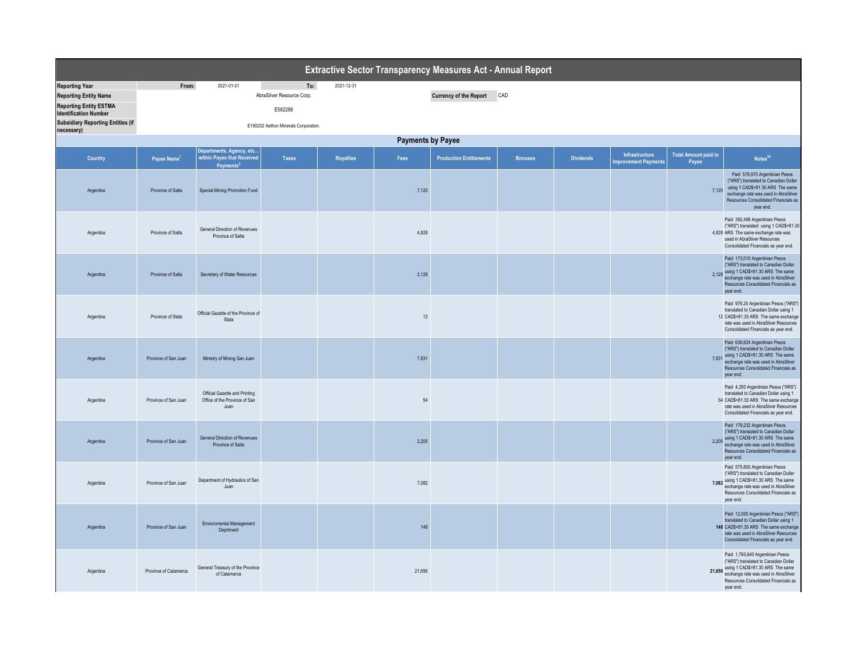| Extractive Sector Transparency Measures Act - Annual Report                                                                                                                      |                          |                                                                                  |                                                                                     |                  |        |                                |                |                  |                                               |                                      |                                                                                                                                                                                                                   |  |  |
|----------------------------------------------------------------------------------------------------------------------------------------------------------------------------------|--------------------------|----------------------------------------------------------------------------------|-------------------------------------------------------------------------------------|------------------|--------|--------------------------------|----------------|------------------|-----------------------------------------------|--------------------------------------|-------------------------------------------------------------------------------------------------------------------------------------------------------------------------------------------------------------------|--|--|
| <b>Reporting Year</b><br><b>Reporting Entity Name</b><br><b>Reporting Entity ESTMA</b><br><b>Identification Number</b><br><b>Subsidiary Reporting Entities (if</b><br>necessary) | From:                    | 2021-01-01                                                                       | To:<br>AbraSilver Resource Corp.<br>E562286<br>E190202 Aethon Minerals Corporation. | 2021-12-31       |        | Currency of the Report CAD     |                |                  |                                               |                                      |                                                                                                                                                                                                                   |  |  |
|                                                                                                                                                                                  | <b>Payments by Payee</b> |                                                                                  |                                                                                     |                  |        |                                |                |                  |                                               |                                      |                                                                                                                                                                                                                   |  |  |
| Country                                                                                                                                                                          | Payee Name <sup>1</sup>  | Departments, Agency, etc.<br>within Payee that Received<br>Payments <sup>2</sup> | <b>Taxes</b>                                                                        | <b>Royalties</b> | Fees   | <b>Production Entitlements</b> | <b>Bonuses</b> | <b>Dividends</b> | Infrastructure<br><b>Improvement Payments</b> | <b>Total Amount paid to</b><br>Payee | Notes <sup>34</sup>                                                                                                                                                                                               |  |  |
| Argentina                                                                                                                                                                        | Province of Salta        | Special Mining Promotion Fund                                                    |                                                                                     |                  | 7,120  |                                |                |                  |                                               | 7,120                                | Paid 578,970 Argentinian Pesos<br>("ARS") translated to Canadian Dollar<br>using 1 CAD\$=81.30 ARS The same<br>exchange rate was used in AbraSilver<br>Resources Consolidated Financials as<br>year end.          |  |  |
| Argentina                                                                                                                                                                        | Province of Salta        | General Direction of Revenues<br>Province of Salta                               |                                                                                     |                  | 4,828  |                                |                |                  |                                               |                                      | Paid 392,498 Argentinian Pesos<br>("ARS") translated using 1 CAD\$=81.30<br>4,828 ARS The same exchange rate was<br>used in AbraSilver Resources<br>Consolidated Financials as year end.                          |  |  |
| Argentina                                                                                                                                                                        | Province of Salta        | Secretary of Water Resources                                                     |                                                                                     |                  | 2,128  |                                |                |                  |                                               |                                      | Paid 173,010 Argentinian Pesos<br>("ARS") translated to Canadian Dollar<br>2,128 using 1 CAD\$=81.30 ARS The same<br>exchange rate was used in AbraSilver<br>Resources Consolidated Financials as<br>year end.    |  |  |
| Argentina                                                                                                                                                                        | Province of Slata        | Official Gazette of the Province of<br>Slata                                     |                                                                                     |                  | $12\,$ |                                |                |                  |                                               |                                      | Paid 976.20 Argentinian Pesos ("ARS")<br>translated to Canadian Dollar using 1<br>12 CAD\$=81.30 ARS The same exchange<br>rate was used in AbraSilver Resources<br>Consolidated Financials as year end.           |  |  |
| Argentina                                                                                                                                                                        | Province of San Juan     | Ministry of Mining San Juan                                                      |                                                                                     |                  | 7,831  |                                |                |                  |                                               |                                      | Paid 636,624 Argentinian Pesos<br>("ARS") translated to Canadian Dollar<br>7,831 using 1 CAD\$=81.30 ARS The same<br>exchange rate was used in AbraSilver<br>Resources Consolidated Financials as<br>year end.    |  |  |
| Argentina                                                                                                                                                                        | Province of San Juan     | Official Gazette and Printing<br>Office of the Province of San<br>Juan           |                                                                                     |                  | 54     |                                |                |                  |                                               |                                      | Paid 4,350 Argentinian Pesos ("ARS")<br>translated to Canadian Dollar using 1<br>54 CAD\$=81.30 ARS The same exchange<br>rate was used in AbraSilver Resources<br>Consolidated Financials as year end.            |  |  |
| Argentina                                                                                                                                                                        | Province of San Juan     | General Direction of Revenues<br>Province of Salta                               |                                                                                     |                  | 2.205  |                                |                |                  |                                               |                                      | Paid 179,232 Argentinian Pesos<br>("ARS") translated to Canadian Dollar<br>2,205 using 1 CAD\$=81.30 ARS The same<br>exchange rate was used in AbraSilver<br>Resources Consolidated Financials as<br>year end.    |  |  |
| Argentina                                                                                                                                                                        | Province of San Juan     | Department of Hydraulics of San<br>Juan                                          |                                                                                     |                  | 7,082  |                                |                |                  |                                               |                                      | Paid 575,800 Argentinian Pesos<br>("ARS") translated to Canadian Dollar<br>7,082 using 1 CAD\$=81.30 ARS The same<br>exchange rate was used in AbraSilver<br>Resources Consolidated Financials as<br>year end.    |  |  |
| Argentina                                                                                                                                                                        | Province of San Juan     | Envioromental Management<br>Deprtment                                            |                                                                                     |                  | 148    |                                |                |                  |                                               |                                      | Paid 12,000 Argentinian Pesos ("ARS")<br>translated to Canadian Dollar using 1<br>148 CAD\$=81.30 ARS The same exchange<br>rate was used in AbraSilver Resources<br>Consolidated Financials as year end.          |  |  |
| Argentina                                                                                                                                                                        | Province of Catamarca    | General Treasury of the Province<br>of Catamarca                                 |                                                                                     |                  | 21,656 |                                |                |                  |                                               |                                      | Paid 1,760,640 Argentinian Pesos<br>("ARS") translated to Canadian Dollar<br>21,656 using 1 CAD\$=81.30 ARS The same<br>exchange rate was used in AbraSilver<br>Resources Consolidated Financials as<br>year end. |  |  |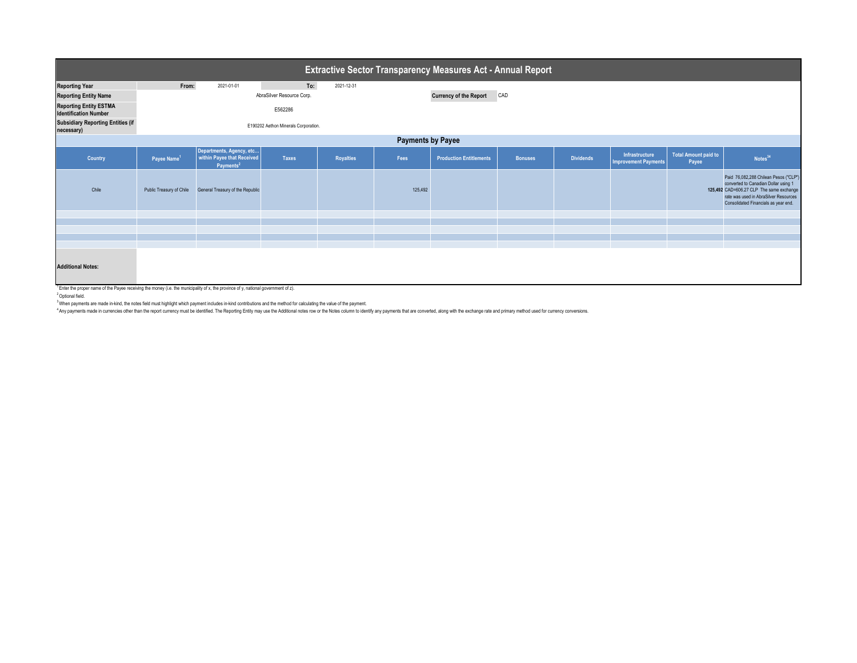| <b>Extractive Sector Transparency Measures Act - Annual Report</b> |                          |                                                                                 |                                      |                  |                          |                                |                |                  |                                               |                               |                                                                                                                                                                                                            |  |
|--------------------------------------------------------------------|--------------------------|---------------------------------------------------------------------------------|--------------------------------------|------------------|--------------------------|--------------------------------|----------------|------------------|-----------------------------------------------|-------------------------------|------------------------------------------------------------------------------------------------------------------------------------------------------------------------------------------------------------|--|
| <b>Reporting Year</b>                                              | From:                    | 2021-01-01                                                                      | To:                                  | 2021-12-31       |                          |                                |                |                  |                                               |                               |                                                                                                                                                                                                            |  |
| <b>Reporting Entity Name</b>                                       |                          |                                                                                 | AbraSilver Resource Corp.            |                  |                          | <b>Currency of the Report</b>  | CAD            |                  |                                               |                               |                                                                                                                                                                                                            |  |
| <b>Reporting Entity ESTMA</b><br><b>Identification Number</b>      |                          |                                                                                 | E562286                              |                  |                          |                                |                |                  |                                               |                               |                                                                                                                                                                                                            |  |
| <b>Subsidiary Reporting Entities (if</b><br>necessary)             |                          |                                                                                 | E190202 Aethon Minerals Corporation. |                  |                          |                                |                |                  |                                               |                               |                                                                                                                                                                                                            |  |
|                                                                    |                          |                                                                                 |                                      |                  | <b>Payments by Payee</b> |                                |                |                  |                                               |                               |                                                                                                                                                                                                            |  |
| Country                                                            | Payee Name <sup>1</sup>  | Departments, Agency, etc<br>within Payee that Received<br>Payments <sup>2</sup> | Taxes                                | <b>Royalties</b> | Fees                     | <b>Production Entitlements</b> | <b>Bonuses</b> | <b>Dividends</b> | Infrastructure<br><b>Improvement Payments</b> | Total Amount paid to<br>Payee | Notes <sup>34</sup>                                                                                                                                                                                        |  |
| Chile                                                              | Public Treasury of Chile | General Treasury of the Republic                                                |                                      |                  | 125,492                  |                                |                |                  |                                               |                               | Paid 76,082,288 Chilean Pesos ("CLP")<br>converted to Canadian Dollar using 1<br>125,492 CAD=606.27 CLP The same exchange<br>rate was used in AbraSilver Resources<br>Consolidated Financials as year end. |  |
|                                                                    |                          |                                                                                 |                                      |                  |                          |                                |                |                  |                                               |                               |                                                                                                                                                                                                            |  |
|                                                                    |                          |                                                                                 |                                      |                  |                          |                                |                |                  |                                               |                               |                                                                                                                                                                                                            |  |
|                                                                    |                          |                                                                                 |                                      |                  |                          |                                |                |                  |                                               |                               |                                                                                                                                                                                                            |  |
|                                                                    |                          |                                                                                 |                                      |                  |                          |                                |                |                  |                                               |                               |                                                                                                                                                                                                            |  |
| <b>Additional Notes:</b><br>1era - Ane Star Andrea Start Andre     |                          |                                                                                 |                                      |                  |                          |                                |                |                  |                                               |                               |                                                                                                                                                                                                            |  |

<sup>1</sup> Enter the proper name of the Payee receiving the money (i.e. the municipality of x, the province of y, national government of z).

<sup>2</sup> Optional field.

<sup>3</sup> When payments are made in-kind, the notes field must highlight which payment includes in-kind contributions and the method for calculating the value of the payment.<br><sup>4</sup> Any payments made in currencies other than the re